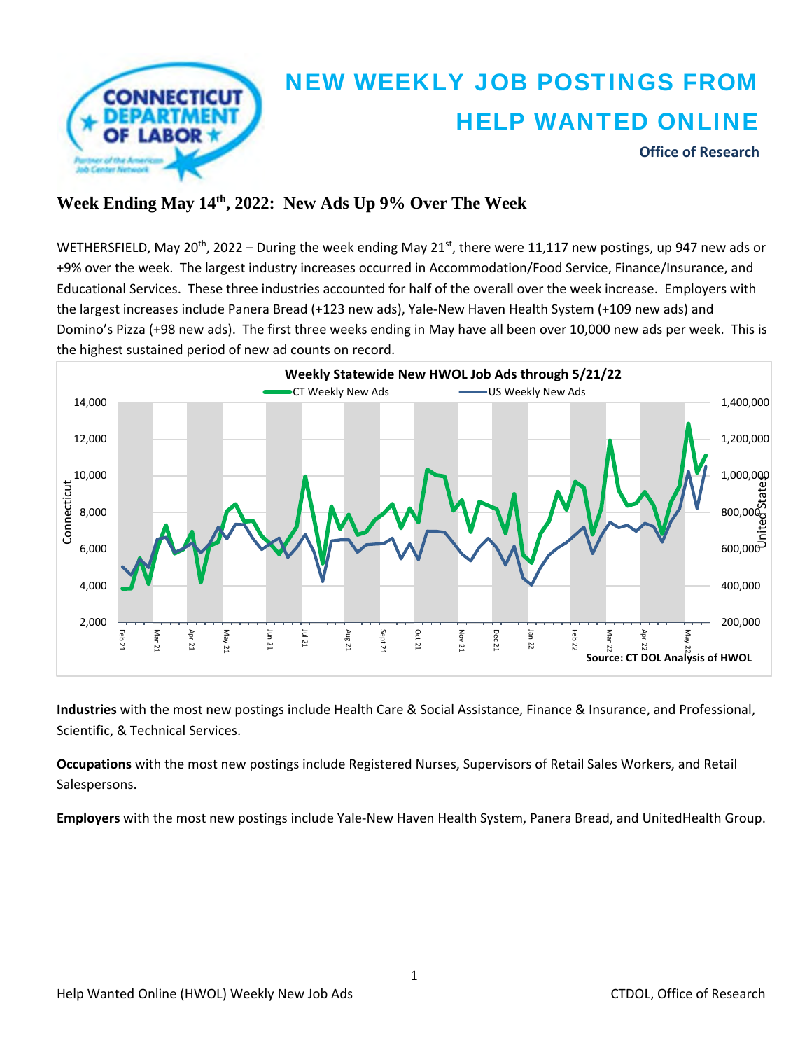

## **Week Ending May 14th, 2022: New Ads Up 9% Over The Week**

WETHERSFIELD, May 20<sup>th</sup>, 2022 – During the week ending May 21<sup>st</sup>, there were 11,117 new postings, up 947 new ads or +9% over the week. The largest industry increases occurred in Accommodation/Food Service, Finance/Insurance, and Educational Services. These three industries accounted for half of the overall over the week increase. Employers with the largest increases include Panera Bread (+123 new ads), Yale‐New Haven Health System (+109 new ads) and Domino's Pizza (+98 new ads). The first three weeks ending in May have all been over 10,000 new ads per week. This is the highest sustained period of new ad counts on record.



**Industries** with the most new postings include Health Care & Social Assistance, Finance & Insurance, and Professional, Scientific, & Technical Services.

**Occupations** with the most new postings include Registered Nurses, Supervisors of Retail Sales Workers, and Retail Salespersons.

**Employers** with the most new postings include Yale‐New Haven Health System, Panera Bread, and UnitedHealth Group.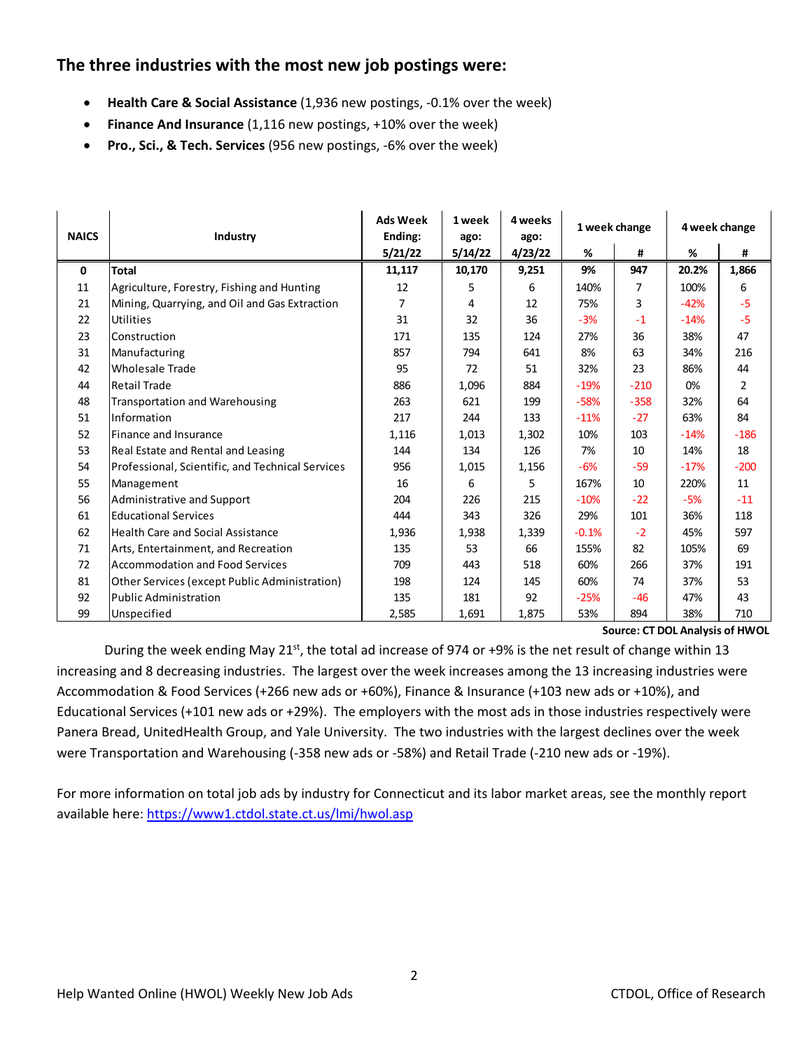### **The three industries with the most new job postings were:**

- **Health Care & Social Assistance** (1,936 new postings, ‐0.1% over the week)
- **Finance And Insurance** (1,116 new postings, +10% over the week)
- **Pro., Sci., & Tech. Services** (956 new postings, ‐6% over the week)

| <b>NAICS</b> | Industry                                         | <b>Ads Week</b><br>Ending: | 1 week<br>ago: | 4 weeks<br>ago: | 1 week change |                | 4 week change |        |
|--------------|--------------------------------------------------|----------------------------|----------------|-----------------|---------------|----------------|---------------|--------|
|              |                                                  | 5/21/22                    | 5/14/22        | 4/23/22         | %             | #              | %             | #      |
| $\mathbf 0$  | <b>Total</b>                                     | 11,117                     | 10,170         | 9,251           | 9%            | 947            | 20.2%         | 1,866  |
| 11           | Agriculture, Forestry, Fishing and Hunting       | 12                         | 5              | 6               | 140%          | $\overline{7}$ | 100%          | 6      |
| 21           | Mining, Quarrying, and Oil and Gas Extraction    | 7                          | 4              | 12              | 75%           | 3              | $-42%$        | $-5$   |
| 22           | Utilities                                        | 31                         | 32             | 36              | $-3%$         | $-1$           | $-14%$        | $-5$   |
| 23           | Construction                                     | 171                        | 135            | 124             | 27%           | 36             | 38%           | 47     |
| 31           | Manufacturing                                    | 857                        | 794            | 641             | 8%            | 63             | 34%           | 216    |
| 42           | <b>Wholesale Trade</b>                           | 95                         | 72             | 51              | 32%           | 23             | 86%           | 44     |
| 44           | <b>Retail Trade</b>                              | 886                        | 1,096          | 884             | $-19%$        | $-210$         | 0%            | 2      |
| 48           | <b>Transportation and Warehousing</b>            | 263                        | 621            | 199             | $-58%$        | $-358$         | 32%           | 64     |
| 51           | Information                                      | 217                        | 244            | 133             | $-11%$        | $-27$          | 63%           | 84     |
| 52           | Finance and Insurance                            | 1,116                      | 1,013          | 1,302           | 10%           | 103            | $-14%$        | $-186$ |
| 53           | Real Estate and Rental and Leasing               | 144                        | 134            | 126             | 7%            | 10             | 14%           | 18     |
| 54           | Professional, Scientific, and Technical Services | 956                        | 1,015          | 1,156           | $-6%$         | $-59$          | $-17%$        | $-200$ |
| 55           | Management                                       | 16                         | 6              | 5               | 167%          | 10             | 220%          | 11     |
| 56           | Administrative and Support                       | 204                        | 226            | 215             | $-10%$        | $-22$          | $-5%$         | $-11$  |
| 61           | <b>Educational Services</b>                      | 444                        | 343            | 326             | 29%           | 101            | 36%           | 118    |
| 62           | Health Care and Social Assistance                | 1,936                      | 1,938          | 1,339           | $-0.1%$       | $-2$           | 45%           | 597    |
| 71           | Arts, Entertainment, and Recreation              | 135                        | 53             | 66              | 155%          | 82             | 105%          | 69     |
| 72           | <b>Accommodation and Food Services</b>           | 709                        | 443            | 518             | 60%           | 266            | 37%           | 191    |
| 81           | Other Services (except Public Administration)    | 198                        | 124            | 145             | 60%           | 74             | 37%           | 53     |
| 92           | Public Administration                            | 135                        | 181            | 92              | $-25%$        | $-46$          | 47%           | 43     |
| 99           | Unspecified                                      | 2,585                      | 1,691          | 1,875           | 53%           | 894            | 38%           | 710    |

**Source: CT DOL Analysis of HWOL**

During the week ending May 21<sup>st</sup>, the total ad increase of 974 or +9% is the net result of change within 13 increasing and 8 decreasing industries. The largest over the week increases among the 13 increasing industries were Accommodation & Food Services (+266 new ads or +60%), Finance & Insurance (+103 new ads or +10%), and Educational Services (+101 new ads or +29%). The employers with the most ads in those industries respectively were Panera Bread, UnitedHealth Group, and Yale University. The two industries with the largest declines over the week were Transportation and Warehousing (‐358 new ads or ‐58%) and Retail Trade (‐210 new ads or ‐19%).

For more information on total job ads by industry for Connecticut and its labor market areas, see the monthly report available here: https://www1.ctdol.state.ct.us/lmi/hwol.asp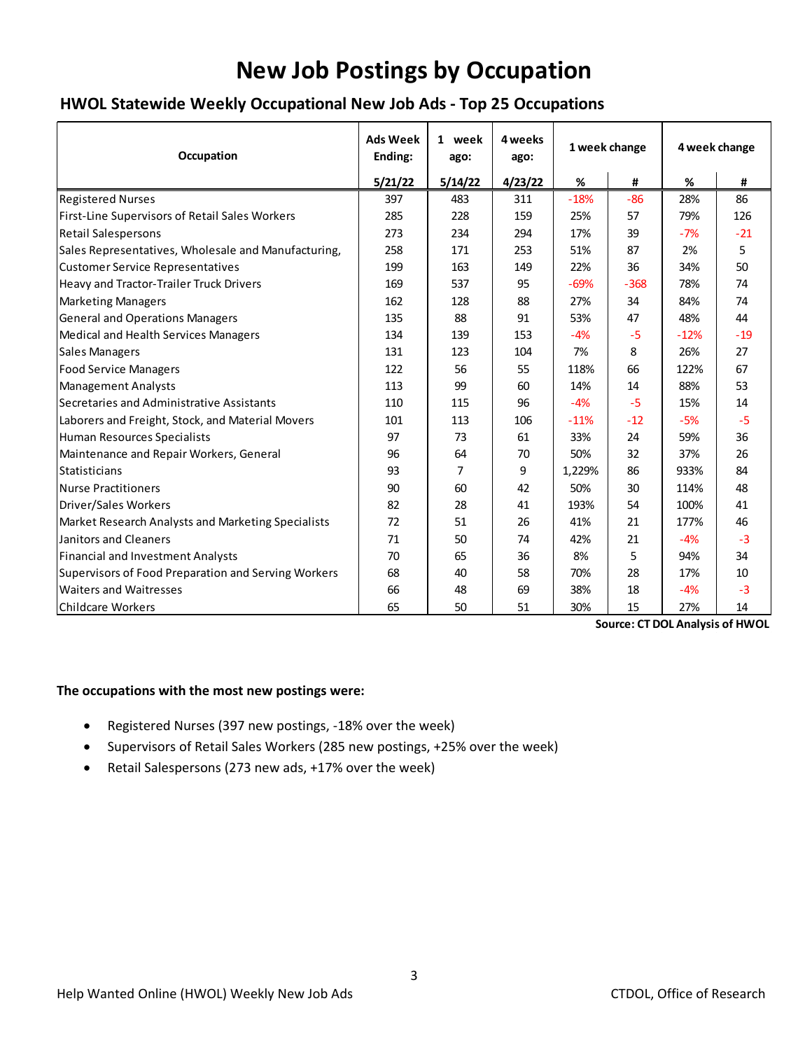# **New Job Postings by Occupation**

#### **HWOL Statewide Weekly Occupational New Job Ads ‐ Top 25 Occupations**

| Occupation                                          | <b>Ads Week</b><br>Ending: | 1 week<br>ago: | 4 weeks<br>ago: | 1 week change |        | 4 week change |       |
|-----------------------------------------------------|----------------------------|----------------|-----------------|---------------|--------|---------------|-------|
|                                                     | 5/21/22                    | 5/14/22        | 4/23/22         | %             | #      | $\%$          | #     |
| <b>Registered Nurses</b>                            | 397                        | 483            | 311             | $-18%$        | $-86$  | 28%           | 86    |
| First-Line Supervisors of Retail Sales Workers      | 285                        | 228            | 159             | 25%           | 57     | 79%           | 126   |
| <b>Retail Salespersons</b>                          | 273                        | 234            | 294             | 17%           | 39     | $-7%$         | $-21$ |
| Sales Representatives, Wholesale and Manufacturing, | 258                        | 171            | 253             | 51%           | 87     | 2%            | 5.    |
| <b>Customer Service Representatives</b>             | 199                        | 163            | 149             | 22%           | 36     | 34%           | 50    |
| Heavy and Tractor-Trailer Truck Drivers             | 169                        | 537            | 95              | $-69%$        | $-368$ | 78%           | 74    |
| Marketing Managers                                  | 162                        | 128            | 88              | 27%           | 34     | 84%           | 74    |
| <b>General and Operations Managers</b>              | 135                        | 88             | 91              | 53%           | 47     | 48%           | 44    |
| Medical and Health Services Managers                | 134                        | 139            | 153             | $-4%$         | $-5$   | $-12%$        | $-19$ |
| Sales Managers                                      | 131                        | 123            | 104             | 7%            | 8      | 26%           | 27    |
| <b>Food Service Managers</b>                        | 122                        | 56             | 55              | 118%          | 66     | 122%          | 67    |
| Management Analysts                                 | 113                        | 99             | 60              | 14%           | 14     | 88%           | 53    |
| Secretaries and Administrative Assistants           | 110                        | 115            | 96              | $-4%$         | $-5$   | 15%           | 14    |
| Laborers and Freight, Stock, and Material Movers    | 101                        | 113            | 106             | $-11%$        | $-12$  | $-5%$         | $-5$  |
| Human Resources Specialists                         | 97                         | 73             | 61              | 33%           | 24     | 59%           | 36    |
| Maintenance and Repair Workers, General             | 96                         | 64             | 70              | 50%           | 32     | 37%           | 26    |
| <b>I</b> Statisticians                              | 93                         | 7              | 9               | 1,229%        | 86     | 933%          | 84    |
| Nurse Practitioners                                 | 90                         | 60             | 42              | 50%           | 30     | 114%          | 48    |
| Driver/Sales Workers                                | 82                         | 28             | 41              | 193%          | 54     | 100%          | 41    |
| Market Research Analysts and Marketing Specialists  | 72                         | 51             | 26              | 41%           | 21     | 177%          | 46    |
| Janitors and Cleaners                               | 71                         | 50             | 74              | 42%           | 21     | $-4%$         | $-3$  |
| Financial and Investment Analysts                   | 70                         | 65             | 36              | 8%            | 5      | 94%           | 34    |
| Supervisors of Food Preparation and Serving Workers | 68                         | 40             | 58              | 70%           | 28     | 17%           | 10    |
| <b>Waiters and Waitresses</b>                       | 66                         | 48             | 69              | 38%           | 18     | $-4%$         | $-3$  |
| Childcare Workers                                   | 65                         | 50             | 51              | 30%           | 15     | 27%           | 14    |

**Source: CT DOL Analysis of HWOL**

#### **The occupations with the most new postings were:**

- Registered Nurses (397 new postings, ‐18% over the week)
- Supervisors of Retail Sales Workers (285 new postings, +25% over the week)
- Retail Salespersons (273 new ads, +17% over the week)